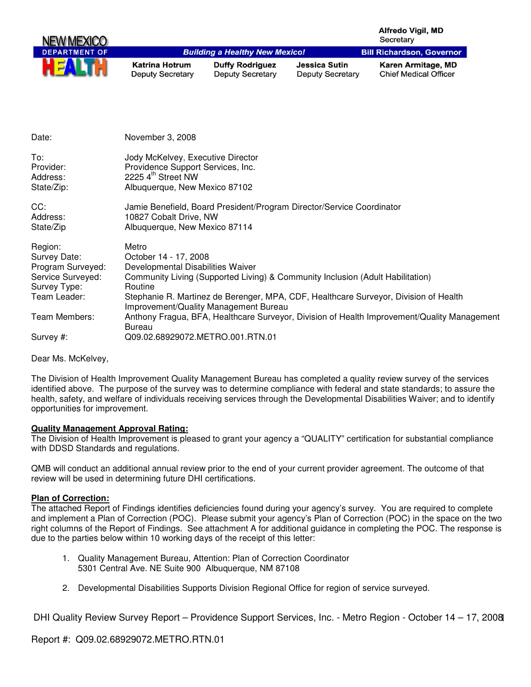| NEW MEXICO           |                                                  |                                                   |                                                 | <b>Alfredo Vigil, MD</b><br>Secretary              |
|----------------------|--------------------------------------------------|---------------------------------------------------|-------------------------------------------------|----------------------------------------------------|
| <b>DEPARTMENT OF</b> |                                                  | <b>Building a Healthy New Mexico!</b>             |                                                 | <b>Bill Richardson, Governor</b>                   |
|                      | <b>Katrina Hotrum</b><br><b>Deputy Secretary</b> | <b>Duffy Rodriguez</b><br><b>Deputy Secretary</b> | <b>Jessica Sutin</b><br><b>Deputy Secretary</b> | Karen Armitage, MD<br><b>Chief Medical Officer</b> |

| Date:                                                                             | November 3, 2008                                                                                                                                                 |
|-----------------------------------------------------------------------------------|------------------------------------------------------------------------------------------------------------------------------------------------------------------|
| To:<br>Provider:<br>Address:<br>State/Zip:                                        | Jody McKelvey, Executive Director<br>Providence Support Services, Inc.<br>2225 4 <sup>th</sup> Street NW<br>Albuquerque, New Mexico 87102                        |
| CC:<br>Address:<br>State/Zip                                                      | Jamie Benefield, Board President/Program Director/Service Coordinator<br>10827 Cobalt Drive, NW<br>Albuquerque, New Mexico 87114                                 |
| Region:<br>Survey Date:<br>Program Surveyed:<br>Service Surveyed:<br>Survey Type: | Metro<br>October 14 - 17, 2008<br>Developmental Disabilities Waiver<br>Community Living (Supported Living) & Community Inclusion (Adult Habilitation)<br>Routine |
| Team Leader:                                                                      | Stephanie R. Martinez de Berenger, MPA, CDF, Healthcare Surveyor, Division of Health                                                                             |
| Team Members:                                                                     | Improvement/Quality Management Bureau<br>Anthony Fragua, BFA, Healthcare Surveyor, Division of Health Improvement/Quality Management<br>Bureau                   |
| Survey #:                                                                         | Q09.02.68929072.METRO.001.RTN.01                                                                                                                                 |

Dear Ms. McKelvey,

The Division of Health Improvement Quality Management Bureau has completed a quality review survey of the services identified above. The purpose of the survey was to determine compliance with federal and state standards; to assure the health, safety, and welfare of individuals receiving services through the Developmental Disabilities Waiver; and to identify opportunities for improvement.

## **Quality Management Approval Rating:**

The Division of Health Improvement is pleased to grant your agency a "QUALITY" certification for substantial compliance with DDSD Standards and regulations.

QMB will conduct an additional annual review prior to the end of your current provider agreement. The outcome of that review will be used in determining future DHI certifications.

#### **Plan of Correction:**

The attached Report of Findings identifies deficiencies found during your agency's survey. You are required to complete and implement a Plan of Correction (POC). Please submit your agency's Plan of Correction (POC) in the space on the two right columns of the Report of Findings. See attachment A for additional guidance in completing the POC. The response is due to the parties below within 10 working days of the receipt of this letter:

- 1. Quality Management Bureau, Attention: Plan of Correction Coordinator 5301 Central Ave. NE Suite 900 Albuquerque, NM 87108
- 2. Developmental Disabilities Supports Division Regional Office for region of service surveyed.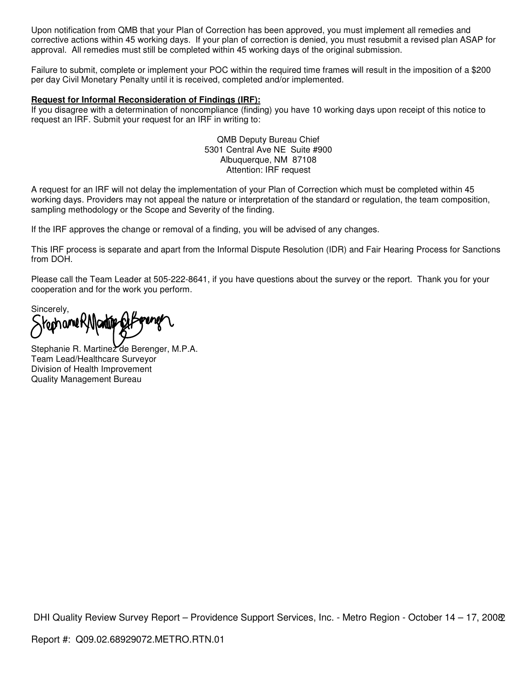Upon notification from QMB that your Plan of Correction has been approved, you must implement all remedies and corrective actions within 45 working days. If your plan of correction is denied, you must resubmit a revised plan ASAP for approval. All remedies must still be completed within 45 working days of the original submission.

Failure to submit, complete or implement your POC within the required time frames will result in the imposition of a \$200 per day Civil Monetary Penalty until it is received, completed and/or implemented.

#### **Request for Informal Reconsideration of Findings (IRF):**

If you disagree with a determination of noncompliance (finding) you have 10 working days upon receipt of this notice to request an IRF. Submit your request for an IRF in writing to:

> QMB Deputy Bureau Chief 5301 Central Ave NE Suite #900 Albuquerque, NM 87108 Attention: IRF request

A request for an IRF will not delay the implementation of your Plan of Correction which must be completed within 45 working days. Providers may not appeal the nature or interpretation of the standard or regulation, the team composition, sampling methodology or the Scope and Severity of the finding.

If the IRF approves the change or removal of a finding, you will be advised of any changes.

This IRF process is separate and apart from the Informal Dispute Resolution (IDR) and Fair Hearing Process for Sanctions from DOH.

Please call the Team Leader at 505-222-8641, if you have questions about the survey or the report. Thank you for your cooperation and for the work you perform.

Sincerely, ómanet

Stephanie R. Martinez de Berenger, M.P.A. Team Lead/Healthcare Surveyor Division of Health Improvement Quality Management Bureau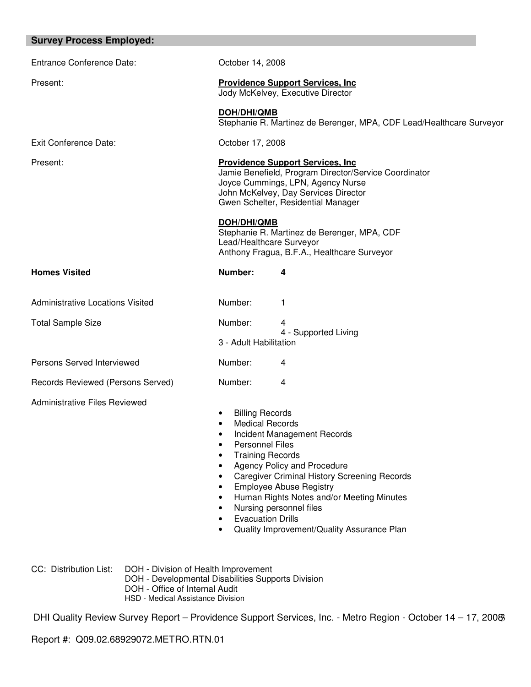| October 14, 2008                                                                                                                                                                                                                                                                                                                                                                                                                 |                                                                                                                                                                                                                      |  |  |
|----------------------------------------------------------------------------------------------------------------------------------------------------------------------------------------------------------------------------------------------------------------------------------------------------------------------------------------------------------------------------------------------------------------------------------|----------------------------------------------------------------------------------------------------------------------------------------------------------------------------------------------------------------------|--|--|
|                                                                                                                                                                                                                                                                                                                                                                                                                                  | <b>Providence Support Services, Inc.</b><br>Jody McKelvey, Executive Director                                                                                                                                        |  |  |
| DOH/DHI/QMB                                                                                                                                                                                                                                                                                                                                                                                                                      | Stephanie R. Martinez de Berenger, MPA, CDF Lead/Healthcare Surveyor                                                                                                                                                 |  |  |
| October 17, 2008                                                                                                                                                                                                                                                                                                                                                                                                                 |                                                                                                                                                                                                                      |  |  |
|                                                                                                                                                                                                                                                                                                                                                                                                                                  | <b>Providence Support Services, Inc.</b><br>Jamie Benefield, Program Director/Service Coordinator<br>Joyce Cummings, LPN, Agency Nurse<br>John McKelvey, Day Services Director<br>Gwen Schelter, Residential Manager |  |  |
| DOH/DHI/QMB                                                                                                                                                                                                                                                                                                                                                                                                                      | Stephanie R. Martinez de Berenger, MPA, CDF<br>Lead/Healthcare Surveyor<br>Anthony Fragua, B.F.A., Healthcare Surveyor                                                                                               |  |  |
| Number:                                                                                                                                                                                                                                                                                                                                                                                                                          | 4                                                                                                                                                                                                                    |  |  |
| Number:                                                                                                                                                                                                                                                                                                                                                                                                                          | 1                                                                                                                                                                                                                    |  |  |
| Number:<br>3 - Adult Habilitation                                                                                                                                                                                                                                                                                                                                                                                                | 4<br>4 - Supported Living                                                                                                                                                                                            |  |  |
| Number:                                                                                                                                                                                                                                                                                                                                                                                                                          | 4                                                                                                                                                                                                                    |  |  |
| Number:                                                                                                                                                                                                                                                                                                                                                                                                                          | 4                                                                                                                                                                                                                    |  |  |
| <b>Billing Records</b><br><b>Medical Records</b><br>$\bullet$<br>Incident Management Records<br>٠<br><b>Personnel Files</b><br><b>Training Records</b><br>Agency Policy and Procedure<br><b>Caregiver Criminal History Screening Records</b><br><b>Employee Abuse Registry</b><br>Human Rights Notes and/or Meeting Minutes<br>Nursing personnel files<br><b>Evacuation Drills</b><br>Quality Improvement/Quality Assurance Plan |                                                                                                                                                                                                                      |  |  |
|                                                                                                                                                                                                                                                                                                                                                                                                                                  |                                                                                                                                                                                                                      |  |  |

CC: Distribution List: DOH - Division of Health Improvement

- DOH Developmental Disabilities Supports Division
- DOH Office of Internal Audit
- HSD Medical Assistance Division

DHI Quality Review Survey Report - Providence Support Services, Inc. - Metro Region - October 14 - 17, 2008

Report #: Q09.02.68929072.METRO.RTN.01

**Survey Process Employed:**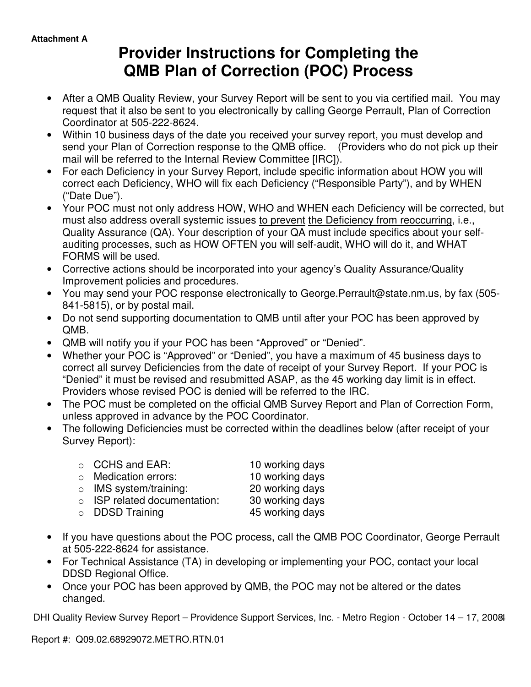# **Provider Instructions for Completing the QMB Plan of Correction (POC) Process**

- After a QMB Quality Review, your Survey Report will be sent to you via certified mail. You may request that it also be sent to you electronically by calling George Perrault, Plan of Correction Coordinator at 505-222-8624.
- Within 10 business days of the date you received your survey report, you must develop and send your Plan of Correction response to the QMB office. (Providers who do not pick up their mail will be referred to the Internal Review Committee [IRC]).
- For each Deficiency in your Survey Report, include specific information about HOW you will correct each Deficiency, WHO will fix each Deficiency ("Responsible Party"), and by WHEN ("Date Due").
- Your POC must not only address HOW, WHO and WHEN each Deficiency will be corrected, but must also address overall systemic issues to prevent the Deficiency from reoccurring, i.e., Quality Assurance (QA). Your description of your QA must include specifics about your selfauditing processes, such as HOW OFTEN you will self-audit, WHO will do it, and WHAT FORMS will be used.
- Corrective actions should be incorporated into your agency's Quality Assurance/Quality Improvement policies and procedures.
- You may send your POC response electronically to George.Perrault@state.nm.us, by fax (505- 841-5815), or by postal mail.
- Do not send supporting documentation to QMB until after your POC has been approved by QMB.
- QMB will notify you if your POC has been "Approved" or "Denied".
- Whether your POC is "Approved" or "Denied", you have a maximum of 45 business days to correct all survey Deficiencies from the date of receipt of your Survey Report. If your POC is "Denied" it must be revised and resubmitted ASAP, as the 45 working day limit is in effect. Providers whose revised POC is denied will be referred to the IRC.
- The POC must be completed on the official QMB Survey Report and Plan of Correction Form, unless approved in advance by the POC Coordinator.
- The following Deficiencies must be corrected within the deadlines below (after receipt of your Survey Report):

| $\circ$ CCHS and EAR:              | 10 working days |
|------------------------------------|-----------------|
| $\circ$ Medication errors:         | 10 working days |
| $\circ$ IMS system/training:       | 20 working days |
| $\circ$ ISP related documentation: | 30 working days |
| $\circ$ DDSD Training              | 45 working days |

- If you have questions about the POC process, call the QMB POC Coordinator, George Perrault at 505-222-8624 for assistance.
- For Technical Assistance (TA) in developing or implementing your POC, contact your local DDSD Regional Office.
- Once your POC has been approved by QMB, the POC may not be altered or the dates changed.

DHI Quality Review Survey Report - Providence Support Services, Inc. - Metro Region - October 14 - 17, 200&

Report #: Q09.02.68929072.METRO.RTN.01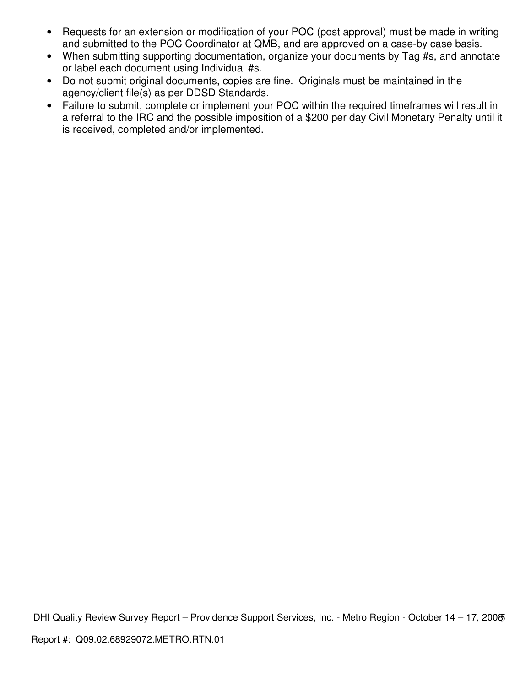- Requests for an extension or modification of your POC (post approval) must be made in writing and submitted to the POC Coordinator at QMB, and are approved on a case-by case basis.
- When submitting supporting documentation, organize your documents by Tag #s, and annotate or label each document using Individual #s.
- Do not submit original documents, copies are fine. Originals must be maintained in the agency/client file(s) as per DDSD Standards.
- Failure to submit, complete or implement your POC within the required timeframes will result in a referral to the IRC and the possible imposition of a \$200 per day Civil Monetary Penalty until it is received, completed and/or implemented.

DHI Quality Review Survey Report - Providence Support Services, Inc. - Metro Region - October 14 - 17, 200 $\delta$ Report #: Q09.02.68929072.METRO.RTN.01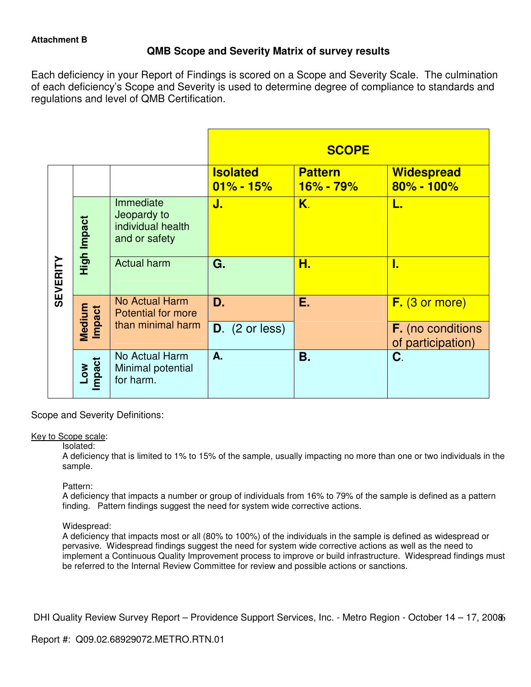# **QMB Scope and Severity Matrix of survey results**

Each deficiency in your Report of Findings is scored on a Scope and Severity Scale. The culmination of each deficiency's Scope and Severity is used to determine degree of compliance to standards and regulations and level of QMB Certification.

|                 |                         |                                                                |                                  | <b>SCOPE</b>                       |                                               |
|-----------------|-------------------------|----------------------------------------------------------------|----------------------------------|------------------------------------|-----------------------------------------------|
|                 |                         |                                                                | <b>Isolated</b><br>$01\% - 15\%$ | <b>Pattern</b><br><b>16% - 79%</b> | <b>Widespread</b><br>$80\% - 100\%$           |
| <b>SEVERITY</b> | High Impact             | Immediate<br>Jeopardy to<br>individual health<br>and or safety | J.                               | K.                                 | L.                                            |
|                 |                         | <b>Actual harm</b>                                             | G.                               | Н.                                 | I.                                            |
|                 |                         | <b>No Actual Harm</b><br><b>Potential for more</b>             | D.                               | Ε.                                 | $F.$ (3 or more)                              |
|                 | Medium<br><b>Impact</b> | than minimal harm                                              | $D.$ (2 or less)                 |                                    | <b>F.</b> (no conditions<br>of participation) |
|                 | Impact<br>Low           | No Actual Harm<br>Minimal potential<br>for harm.               | A.                               | <b>B.</b>                          | C.                                            |

Scope and Severity Definitions:

## Key to Scope scale:

Isolated:

A deficiency that is limited to 1% to 15% of the sample, usually impacting no more than one or two individuals in the sample.

# Pattern:

A deficiency that impacts a number or group of individuals from 16% to 79% of the sample is defined as a pattern finding. Pattern findings suggest the need for system wide corrective actions.

## Widespread:

A deficiency that impacts most or all (80% to 100%) of the individuals in the sample is defined as widespread or pervasive. Widespread findings suggest the need for system wide corrective actions as well as the need to implement a Continuous Quality Improvement process to improve or build infrastructure. Widespread findings must be referred to the Internal Review Committee for review and possible actions or sanctions.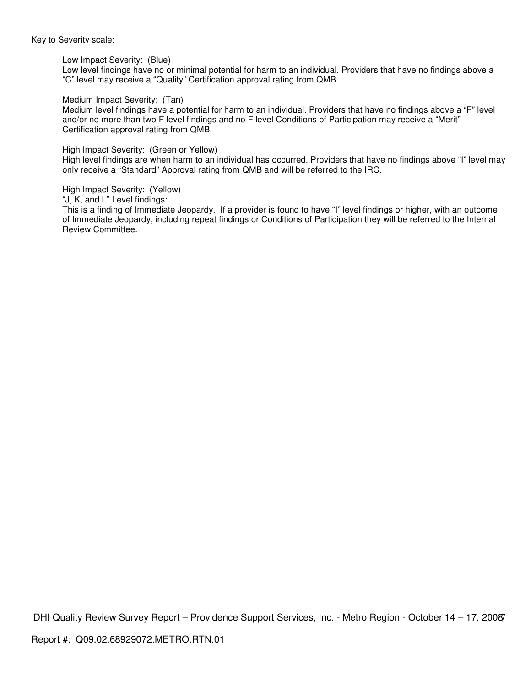#### Key to Severity scale:

#### Low Impact Severity: (Blue)

Low level findings have no or minimal potential for harm to an individual. Providers that have no findings above a "C" level may receive a "Quality" Certification approval rating from QMB.

#### Medium Impact Severity: (Tan)

Medium level findings have a potential for harm to an individual. Providers that have no findings above a "F" level and/or no more than two F level findings and no F level Conditions of Participation may receive a "Merit" Certification approval rating from QMB.

#### High Impact Severity: (Green or Yellow)

High level findings are when harm to an individual has occurred. Providers that have no findings above "I" level may only receive a "Standard" Approval rating from QMB and will be referred to the IRC.

High Impact Severity: (Yellow)

"J, K, and L" Level findings:

This is a finding of Immediate Jeopardy. If a provider is found to have "I" level findings or higher, with an outcome of Immediate Jeopardy, including repeat findings or Conditions of Participation they will be referred to the Internal Review Committee.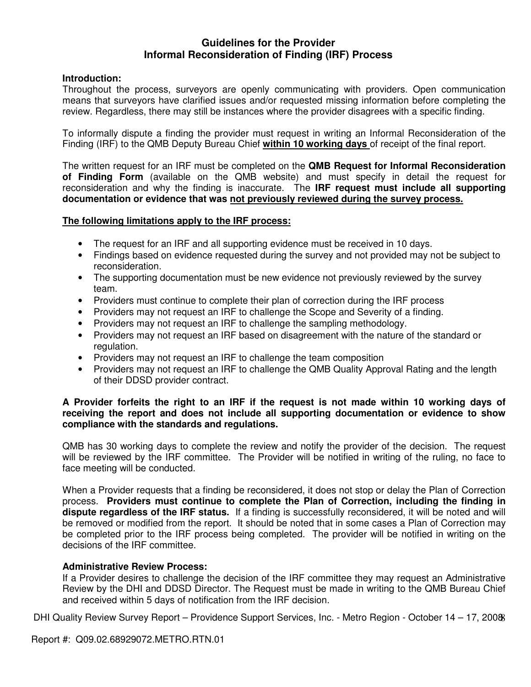# **Guidelines for the Provider Informal Reconsideration of Finding (IRF) Process**

# **Introduction:**

Throughout the process, surveyors are openly communicating with providers. Open communication means that surveyors have clarified issues and/or requested missing information before completing the review. Regardless, there may still be instances where the provider disagrees with a specific finding.

To informally dispute a finding the provider must request in writing an Informal Reconsideration of the Finding (IRF) to the QMB Deputy Bureau Chief **within 10 working days** of receipt of the final report.

The written request for an IRF must be completed on the **QMB Request for Informal Reconsideration of Finding Form** (available on the QMB website) and must specify in detail the request for reconsideration and why the finding is inaccurate. The **IRF request must include all supporting documentation or evidence that was not previously reviewed during the survey process.** 

## **The following limitations apply to the IRF process:**

- The request for an IRF and all supporting evidence must be received in 10 days.
- Findings based on evidence requested during the survey and not provided may not be subject to reconsideration.
- The supporting documentation must be new evidence not previously reviewed by the survey team.
- Providers must continue to complete their plan of correction during the IRF process
- Providers may not request an IRF to challenge the Scope and Severity of a finding.
- Providers may not request an IRF to challenge the sampling methodology.
- Providers may not request an IRF based on disagreement with the nature of the standard or regulation.
- Providers may not request an IRF to challenge the team composition
- Providers may not request an IRF to challenge the QMB Quality Approval Rating and the length of their DDSD provider contract.

## **A Provider forfeits the right to an IRF if the request is not made within 10 working days of receiving the report and does not include all supporting documentation or evidence to show compliance with the standards and regulations.**

QMB has 30 working days to complete the review and notify the provider of the decision. The request will be reviewed by the IRF committee. The Provider will be notified in writing of the ruling, no face to face meeting will be conducted.

When a Provider requests that a finding be reconsidered, it does not stop or delay the Plan of Correction process. **Providers must continue to complete the Plan of Correction, including the finding in dispute regardless of the IRF status.** If a finding is successfully reconsidered, it will be noted and will be removed or modified from the report. It should be noted that in some cases a Plan of Correction may be completed prior to the IRF process being completed. The provider will be notified in writing on the decisions of the IRF committee.

## **Administrative Review Process:**

If a Provider desires to challenge the decision of the IRF committee they may request an Administrative Review by the DHI and DDSD Director. The Request must be made in writing to the QMB Bureau Chief and received within 5 days of notification from the IRF decision.

DHI Quality Review Survey Report - Providence Support Services, Inc. - Metro Region - October 14 - 17, 2008

Report #: Q09.02.68929072.METRO.RTN.01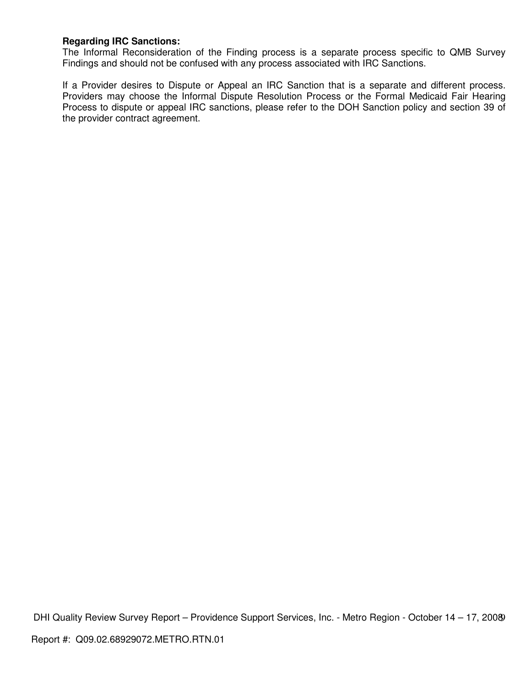# **Regarding IRC Sanctions:**

The Informal Reconsideration of the Finding process is a separate process specific to QMB Survey Findings and should not be confused with any process associated with IRC Sanctions.

If a Provider desires to Dispute or Appeal an IRC Sanction that is a separate and different process. Providers may choose the Informal Dispute Resolution Process or the Formal Medicaid Fair Hearing Process to dispute or appeal IRC sanctions, please refer to the DOH Sanction policy and section 39 of the provider contract agreement.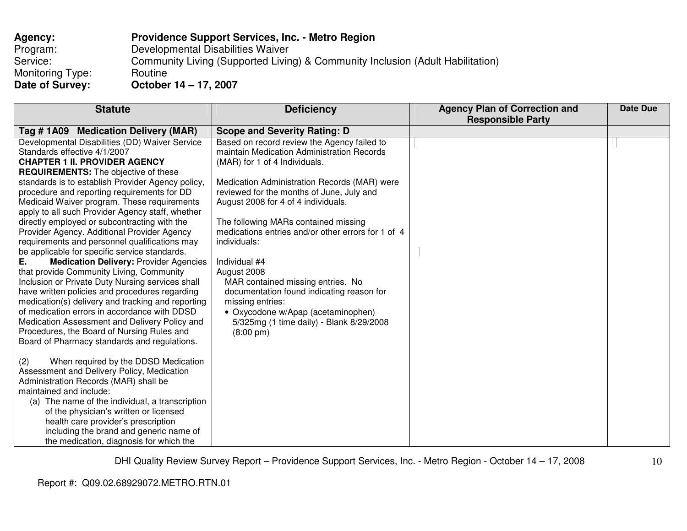| <b>Providence Support Services, Inc. - Metro Region</b>                        |
|--------------------------------------------------------------------------------|
| Developmental Disabilities Waiver                                              |
| Community Living (Supported Living) & Community Inclusion (Adult Habilitation) |
| Routine                                                                        |
| October 14 - 17, 2007                                                          |
|                                                                                |

| <b>Statute</b>                                                                                                                                                                                                                                                                                                                                                                                                                                                                                                                                                                                                                                                                                                                                                                                                                                                                                                                                                                                                                                                                                                                                                                                                                                                                                                                                                                             | <b>Deficiency</b>                                                                                                                                                                                                                                                                                                                                                                                                                                                                                                                                                                                                           | <b>Agency Plan of Correction and</b><br><b>Responsible Party</b> | Date Due |
|--------------------------------------------------------------------------------------------------------------------------------------------------------------------------------------------------------------------------------------------------------------------------------------------------------------------------------------------------------------------------------------------------------------------------------------------------------------------------------------------------------------------------------------------------------------------------------------------------------------------------------------------------------------------------------------------------------------------------------------------------------------------------------------------------------------------------------------------------------------------------------------------------------------------------------------------------------------------------------------------------------------------------------------------------------------------------------------------------------------------------------------------------------------------------------------------------------------------------------------------------------------------------------------------------------------------------------------------------------------------------------------------|-----------------------------------------------------------------------------------------------------------------------------------------------------------------------------------------------------------------------------------------------------------------------------------------------------------------------------------------------------------------------------------------------------------------------------------------------------------------------------------------------------------------------------------------------------------------------------------------------------------------------------|------------------------------------------------------------------|----------|
| Tag # 1A09 Medication Delivery (MAR)                                                                                                                                                                                                                                                                                                                                                                                                                                                                                                                                                                                                                                                                                                                                                                                                                                                                                                                                                                                                                                                                                                                                                                                                                                                                                                                                                       | <b>Scope and Severity Rating: D</b>                                                                                                                                                                                                                                                                                                                                                                                                                                                                                                                                                                                         |                                                                  |          |
| Developmental Disabilities (DD) Waiver Service<br>Standards effective 4/1/2007<br><b>CHAPTER 1 II. PROVIDER AGENCY</b><br><b>REQUIREMENTS:</b> The objective of these<br>standards is to establish Provider Agency policy,<br>procedure and reporting requirements for DD<br>Medicaid Waiver program. These requirements<br>apply to all such Provider Agency staff, whether<br>directly employed or subcontracting with the<br>Provider Agency. Additional Provider Agency<br>requirements and personnel qualifications may<br>be applicable for specific service standards.<br>Е.<br><b>Medication Delivery: Provider Agencies</b><br>that provide Community Living, Community<br>Inclusion or Private Duty Nursing services shall<br>have written policies and procedures regarding<br>medication(s) delivery and tracking and reporting<br>of medication errors in accordance with DDSD<br>Medication Assessment and Delivery Policy and<br>Procedures, the Board of Nursing Rules and<br>Board of Pharmacy standards and regulations.<br>When required by the DDSD Medication<br>(2)<br>Assessment and Delivery Policy, Medication<br>Administration Records (MAR) shall be<br>maintained and include:<br>(a) The name of the individual, a transcription<br>of the physician's written or licensed<br>health care provider's prescription<br>including the brand and generic name of | Based on record review the Agency failed to<br>maintain Medication Administration Records<br>(MAR) for 1 of 4 Individuals.<br>Medication Administration Records (MAR) were<br>reviewed for the months of June, July and<br>August 2008 for 4 of 4 individuals.<br>The following MARs contained missing<br>medications entries and/or other errors for 1 of 4<br>individuals:<br>Individual #4<br>August 2008<br>MAR contained missing entries. No<br>documentation found indicating reason for<br>missing entries:<br>• Oxycodone w/Apap (acetaminophen)<br>5/325mg (1 time daily) - Blank 8/29/2008<br>$(8:00 \text{ pm})$ |                                                                  |          |
| the medication, diagnosis for which the                                                                                                                                                                                                                                                                                                                                                                                                                                                                                                                                                                                                                                                                                                                                                                                                                                                                                                                                                                                                                                                                                                                                                                                                                                                                                                                                                    |                                                                                                                                                                                                                                                                                                                                                                                                                                                                                                                                                                                                                             |                                                                  |          |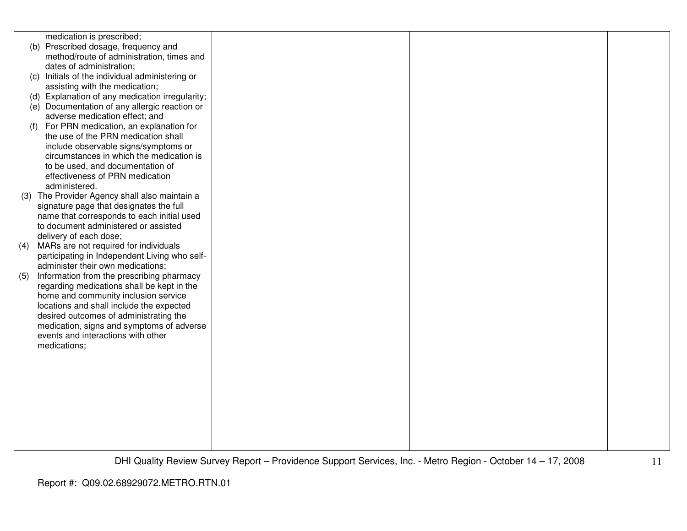|     | medication is prescribed;                       |  |  |
|-----|-------------------------------------------------|--|--|
|     | (b) Prescribed dosage, frequency and            |  |  |
|     | method/route of administration, times and       |  |  |
|     | dates of administration;                        |  |  |
|     | (c) Initials of the individual administering or |  |  |
|     | assisting with the medication;                  |  |  |
|     | (d) Explanation of any medication irregularity; |  |  |
|     | (e) Documentation of any allergic reaction or   |  |  |
|     | adverse medication effect; and                  |  |  |
| (f) | For PRN medication, an explanation for          |  |  |
|     | the use of the PRN medication shall             |  |  |
|     | include observable signs/symptoms or            |  |  |
|     | circumstances in which the medication is        |  |  |
|     | to be used, and documentation of                |  |  |
|     | effectiveness of PRN medication                 |  |  |
|     | administered.                                   |  |  |
|     | (3) The Provider Agency shall also maintain a   |  |  |
|     | signature page that designates the full         |  |  |
|     | name that corresponds to each initial used      |  |  |
|     | to document administered or assisted            |  |  |
|     | delivery of each dose;                          |  |  |
| (4) | MARs are not required for individuals           |  |  |
|     | participating in Independent Living who self-   |  |  |
|     | administer their own medications;               |  |  |
| (5) | Information from the prescribing pharmacy       |  |  |
|     | regarding medications shall be kept in the      |  |  |
|     | home and community inclusion service            |  |  |
|     | locations and shall include the expected        |  |  |
|     | desired outcomes of administrating the          |  |  |
|     | medication, signs and symptoms of adverse       |  |  |
|     | events and interactions with other              |  |  |
|     | medications;                                    |  |  |
|     |                                                 |  |  |
|     |                                                 |  |  |
|     |                                                 |  |  |
|     |                                                 |  |  |
|     |                                                 |  |  |
|     |                                                 |  |  |
|     |                                                 |  |  |
|     |                                                 |  |  |
|     |                                                 |  |  |
|     |                                                 |  |  |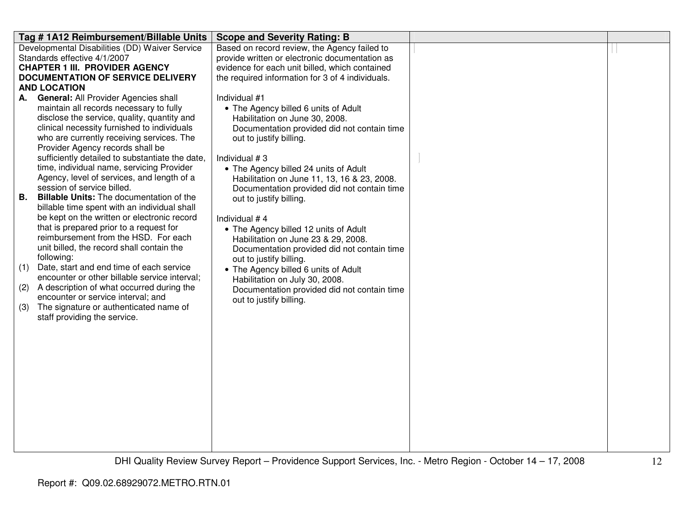| Tag #1A12 Reimbursement/Billable Units                                              | <b>Scope and Severity Rating: B</b>                                                        |  |
|-------------------------------------------------------------------------------------|--------------------------------------------------------------------------------------------|--|
| Developmental Disabilities (DD) Waiver Service                                      | Based on record review, the Agency failed to                                               |  |
| Standards effective 4/1/2007                                                        | provide written or electronic documentation as                                             |  |
| <b>CHAPTER 1 III. PROVIDER AGENCY</b>                                               | evidence for each unit billed, which contained                                             |  |
| <b>DOCUMENTATION OF SERVICE DELIVERY</b>                                            | the required information for 3 of 4 individuals.                                           |  |
| <b>AND LOCATION</b>                                                                 |                                                                                            |  |
| A. General: All Provider Agencies shall                                             | Individual #1                                                                              |  |
| maintain all records necessary to fully                                             | • The Agency billed 6 units of Adult                                                       |  |
| disclose the service, quality, quantity and                                         | Habilitation on June 30, 2008.                                                             |  |
| clinical necessity furnished to individuals                                         | Documentation provided did not contain time                                                |  |
| who are currently receiving services. The                                           | out to justify billing.                                                                    |  |
| Provider Agency records shall be<br>sufficiently detailed to substantiate the date, | Individual #3                                                                              |  |
| time, individual name, servicing Provider                                           |                                                                                            |  |
| Agency, level of services, and length of a                                          | • The Agency billed 24 units of Adult                                                      |  |
| session of service billed.                                                          | Habilitation on June 11, 13, 16 & 23, 2008.<br>Documentation provided did not contain time |  |
| <b>Billable Units:</b> The documentation of the<br><b>B.</b>                        | out to justify billing.                                                                    |  |
| billable time spent with an individual shall                                        |                                                                                            |  |
| be kept on the written or electronic record                                         | Individual #4                                                                              |  |
| that is prepared prior to a request for                                             | • The Agency billed 12 units of Adult                                                      |  |
| reimbursement from the HSD. For each                                                | Habilitation on June 23 & 29, 2008.                                                        |  |
| unit billed, the record shall contain the                                           | Documentation provided did not contain time                                                |  |
| following:                                                                          | out to justify billing.                                                                    |  |
| Date, start and end time of each service<br>(1)                                     | • The Agency billed 6 units of Adult                                                       |  |
| encounter or other billable service interval;                                       | Habilitation on July 30, 2008.                                                             |  |
| A description of what occurred during the<br>(2)                                    | Documentation provided did not contain time                                                |  |
| encounter or service interval; and                                                  | out to justify billing.                                                                    |  |
| The signature or authenticated name of<br>(3)                                       |                                                                                            |  |
| staff providing the service.                                                        |                                                                                            |  |
|                                                                                     |                                                                                            |  |
|                                                                                     |                                                                                            |  |
|                                                                                     |                                                                                            |  |
|                                                                                     |                                                                                            |  |
|                                                                                     |                                                                                            |  |
|                                                                                     |                                                                                            |  |
|                                                                                     |                                                                                            |  |
|                                                                                     |                                                                                            |  |
|                                                                                     |                                                                                            |  |
|                                                                                     |                                                                                            |  |
|                                                                                     |                                                                                            |  |
|                                                                                     |                                                                                            |  |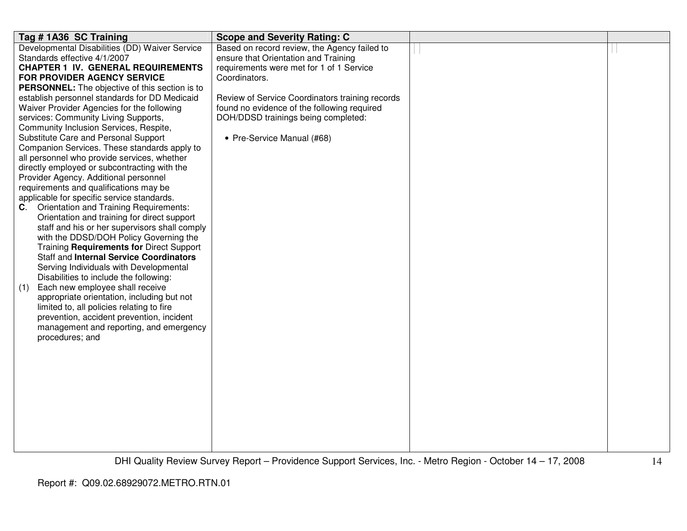| Tag #1A36 SC Training                                 | <b>Scope and Severity Rating: C</b>             |  |
|-------------------------------------------------------|-------------------------------------------------|--|
| Developmental Disabilities (DD) Waiver Service        | Based on record review, the Agency failed to    |  |
| Standards effective 4/1/2007                          | ensure that Orientation and Training            |  |
| <b>CHAPTER 1 IV. GENERAL REQUIREMENTS</b>             | requirements were met for 1 of 1 Service        |  |
| FOR PROVIDER AGENCY SERVICE                           | Coordinators.                                   |  |
| <b>PERSONNEL:</b> The objective of this section is to |                                                 |  |
| establish personnel standards for DD Medicaid         | Review of Service Coordinators training records |  |
| Waiver Provider Agencies for the following            | found no evidence of the following required     |  |
| services: Community Living Supports,                  | DOH/DDSD trainings being completed:             |  |
| Community Inclusion Services, Respite,                |                                                 |  |
| Substitute Care and Personal Support                  | • Pre-Service Manual (#68)                      |  |
| Companion Services. These standards apply to          |                                                 |  |
| all personnel who provide services, whether           |                                                 |  |
| directly employed or subcontracting with the          |                                                 |  |
| Provider Agency. Additional personnel                 |                                                 |  |
| requirements and qualifications may be                |                                                 |  |
| applicable for specific service standards.            |                                                 |  |
| Orientation and Training Requirements:<br>C.          |                                                 |  |
| Orientation and training for direct support           |                                                 |  |
| staff and his or her supervisors shall comply         |                                                 |  |
| with the DDSD/DOH Policy Governing the                |                                                 |  |
| Training Requirements for Direct Support              |                                                 |  |
| Staff and Internal Service Coordinators               |                                                 |  |
| Serving Individuals with Developmental                |                                                 |  |
| Disabilities to include the following:                |                                                 |  |
| Each new employee shall receive<br>(1)                |                                                 |  |
| appropriate orientation, including but not            |                                                 |  |
| limited to, all policies relating to fire             |                                                 |  |
| prevention, accident prevention, incident             |                                                 |  |
| management and reporting, and emergency               |                                                 |  |
| procedures; and                                       |                                                 |  |
|                                                       |                                                 |  |
|                                                       |                                                 |  |
|                                                       |                                                 |  |
|                                                       |                                                 |  |
|                                                       |                                                 |  |
|                                                       |                                                 |  |
|                                                       |                                                 |  |
|                                                       |                                                 |  |
|                                                       |                                                 |  |
|                                                       |                                                 |  |
|                                                       |                                                 |  |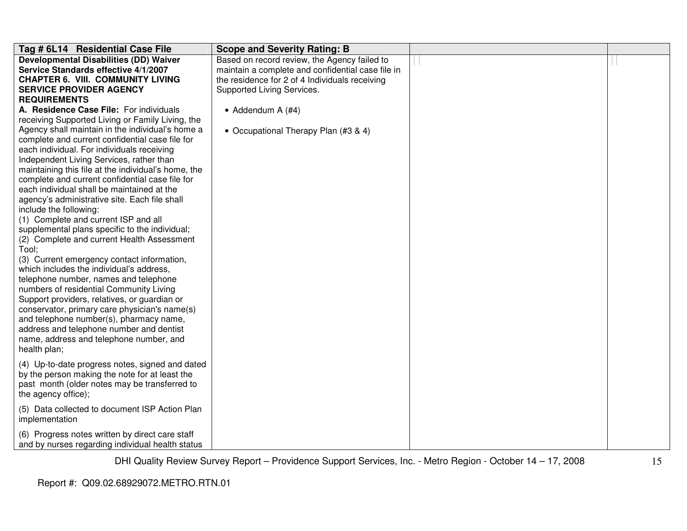| Tag # 6L14 Residential Case File                    | <b>Scope and Severity Rating: B</b>               |  |
|-----------------------------------------------------|---------------------------------------------------|--|
| <b>Developmental Disabilities (DD) Waiver</b>       | Based on record review, the Agency failed to      |  |
| Service Standards effective 4/1/2007                | maintain a complete and confidential case file in |  |
| <b>CHAPTER 6. VIII. COMMUNITY LIVING</b>            | the residence for 2 of 4 Individuals receiving    |  |
| <b>SERVICE PROVIDER AGENCY</b>                      | Supported Living Services.                        |  |
| <b>REQUIREMENTS</b>                                 |                                                   |  |
| A. Residence Case File: For individuals             | • Addendum A $(#4)$                               |  |
| receiving Supported Living or Family Living, the    |                                                   |  |
| Agency shall maintain in the individual's home a    | • Occupational Therapy Plan (#3 & 4)              |  |
| complete and current confidential case file for     |                                                   |  |
| each individual. For individuals receiving          |                                                   |  |
| Independent Living Services, rather than            |                                                   |  |
| maintaining this file at the individual's home, the |                                                   |  |
| complete and current confidential case file for     |                                                   |  |
| each individual shall be maintained at the          |                                                   |  |
| agency's administrative site. Each file shall       |                                                   |  |
| include the following:                              |                                                   |  |
| (1) Complete and current ISP and all                |                                                   |  |
| supplemental plans specific to the individual;      |                                                   |  |
| (2) Complete and current Health Assessment          |                                                   |  |
| Tool;                                               |                                                   |  |
| (3) Current emergency contact information,          |                                                   |  |
| which includes the individual's address,            |                                                   |  |
| telephone number, names and telephone               |                                                   |  |
| numbers of residential Community Living             |                                                   |  |
| Support providers, relatives, or guardian or        |                                                   |  |
| conservator, primary care physician's name(s)       |                                                   |  |
| and telephone number(s), pharmacy name,             |                                                   |  |
| address and telephone number and dentist            |                                                   |  |
| name, address and telephone number, and             |                                                   |  |
| health plan;                                        |                                                   |  |
| (4) Up-to-date progress notes, signed and dated     |                                                   |  |
| by the person making the note for at least the      |                                                   |  |
| past month (older notes may be transferred to       |                                                   |  |
| the agency office);                                 |                                                   |  |
|                                                     |                                                   |  |
| (5) Data collected to document ISP Action Plan      |                                                   |  |
| implementation                                      |                                                   |  |
| (6) Progress notes written by direct care staff     |                                                   |  |
| and by nurses regarding individual health status    |                                                   |  |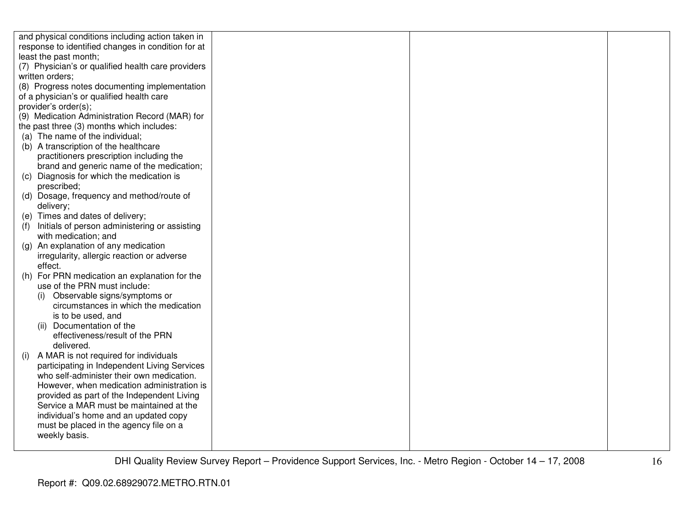| and physical conditions including action taken in                                         |  |  |
|-------------------------------------------------------------------------------------------|--|--|
| response to identified changes in condition for at                                        |  |  |
| least the past month;                                                                     |  |  |
| (7) Physician's or qualified health care providers                                        |  |  |
| written orders;                                                                           |  |  |
| (8) Progress notes documenting implementation                                             |  |  |
| of a physician's or qualified health care                                                 |  |  |
| provider's order(s);                                                                      |  |  |
| (9) Medication Administration Record (MAR) for                                            |  |  |
| the past three (3) months which includes:                                                 |  |  |
| (a) The name of the individual;                                                           |  |  |
| (b) A transcription of the healthcare                                                     |  |  |
| practitioners prescription including the                                                  |  |  |
| brand and generic name of the medication;                                                 |  |  |
| (c) Diagnosis for which the medication is                                                 |  |  |
| prescribed;                                                                               |  |  |
| (d) Dosage, frequency and method/route of                                                 |  |  |
| delivery;                                                                                 |  |  |
| (e) Times and dates of delivery;                                                          |  |  |
| Initials of person administering or assisting<br>(f)                                      |  |  |
| with medication; and                                                                      |  |  |
| (g) An explanation of any medication                                                      |  |  |
| irregularity, allergic reaction or adverse                                                |  |  |
| effect.                                                                                   |  |  |
| (h) For PRN medication an explanation for the                                             |  |  |
| use of the PRN must include:                                                              |  |  |
| Observable signs/symptoms or<br>(i)                                                       |  |  |
| circumstances in which the medication                                                     |  |  |
| is to be used, and                                                                        |  |  |
| (ii) Documentation of the                                                                 |  |  |
| effectiveness/result of the PRN                                                           |  |  |
| delivered.                                                                                |  |  |
| A MAR is not required for individuals<br>(i)                                              |  |  |
| participating in Independent Living Services<br>who self-administer their own medication. |  |  |
|                                                                                           |  |  |
| However, when medication administration is<br>provided as part of the Independent Living  |  |  |
| Service a MAR must be maintained at the                                                   |  |  |
| individual's home and an updated copy                                                     |  |  |
| must be placed in the agency file on a                                                    |  |  |
| weekly basis.                                                                             |  |  |
|                                                                                           |  |  |
|                                                                                           |  |  |